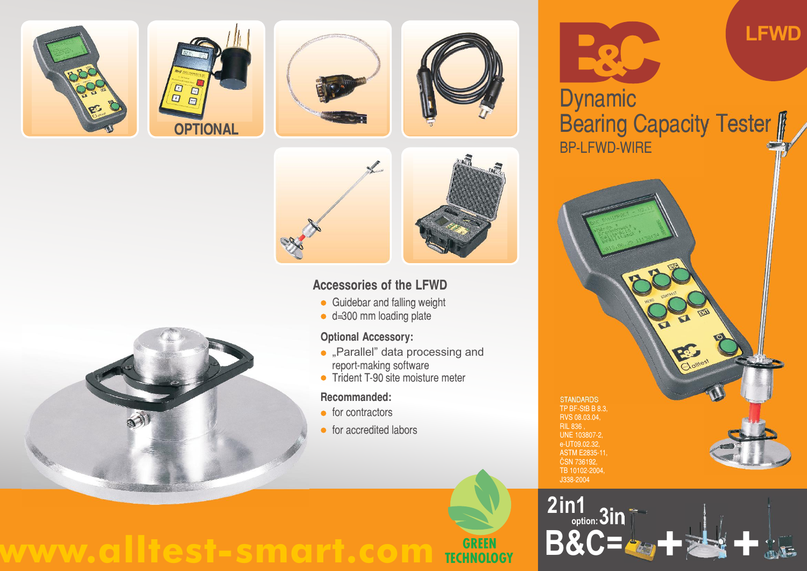











## **Accessories of the LFWD**

- **Guidebar and falling weight**
- d=300 mm loading plate

## **Optional Accessory:**

- . "Parallel" data processing and report-making software
- Trident T-90 site moisture meter

#### **Recommanded:**

- $\bullet$  for contractors
- **•** for accredited labors



# **LFWD**

BP-LFWD-WIRE Dynamic **OPTIONAL Bearing Capacity Tester** 







# **www.alltest-smart.com GREEN TECHNOLOGY**